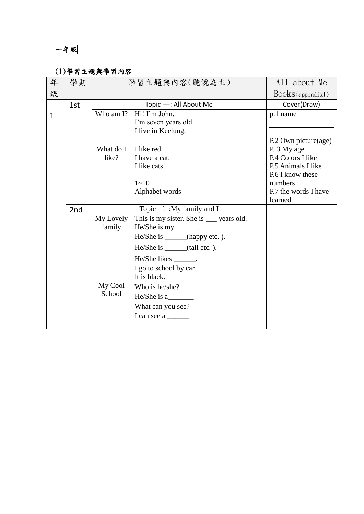一年級

## (1)學習主題與學習內容

| 年            | 學期              | 學習主題與內容(聽說為主) |                                          | All about Me         |
|--------------|-----------------|---------------|------------------------------------------|----------------------|
| 級            |                 |               |                                          | $Books$ (appendix1)  |
|              | 1st             |               | Topic $-$ : All About Me                 | Cover(Draw)          |
| $\mathbf{1}$ |                 | Who am I?     | Hi! I'm John.                            | p.1 name             |
|              |                 |               | I'm seven years old.                     |                      |
|              |                 |               | I live in Keelung.                       |                      |
|              |                 |               |                                          | P.2 Own picture(age) |
|              |                 | What do I     | I like red.                              | P. 3 My age          |
|              |                 | like?         | I have a cat.                            | P.4 Colors I like    |
|              |                 |               | I like cats.                             | P.5 Animals I like   |
|              |                 |               |                                          | P.6 I know these     |
|              |                 |               | $1 - 10$                                 | numbers              |
|              |                 |               | Alphabet words                           | P.7 the words I have |
|              |                 |               | learned                                  |                      |
|              | 2 <sub>nd</sub> |               | Topic $\equiv$ :My family and I          |                      |
|              |                 | My Lovely     | This is my sister. She is ___ years old. |                      |
|              |                 | family        | He/She is my _______.                    |                      |
|              |                 |               | He/She is ______(happy etc.).            |                      |
|              |                 |               | He/She is ______(tall etc.).             |                      |
|              |                 |               | He/She likes ________.                   |                      |
|              |                 |               | I go to school by car.                   |                      |
|              |                 |               | It is black.                             |                      |
|              |                 | My Cool       | Who is he/she?                           |                      |
|              |                 | School        | $He/She$ is a                            |                      |
|              |                 |               | What can you see?                        |                      |
|              |                 |               | I can see a                              |                      |
|              |                 |               |                                          |                      |